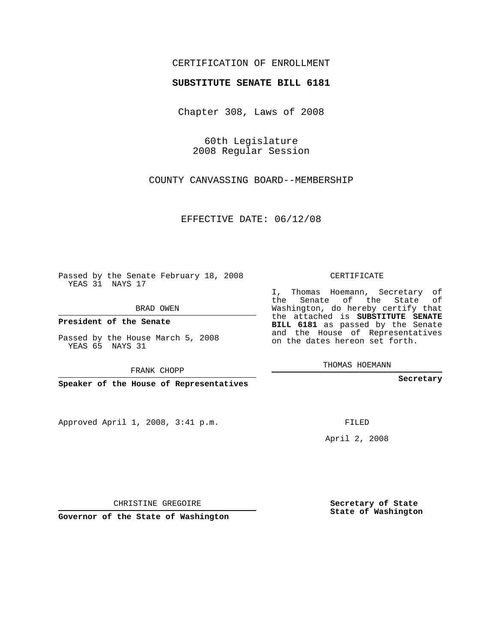## CERTIFICATION OF ENROLLMENT

### **SUBSTITUTE SENATE BILL 6181**

Chapter 308, Laws of 2008

60th Legislature 2008 Regular Session

COUNTY CANVASSING BOARD--MEMBERSHIP

EFFECTIVE DATE: 06/12/08

Passed by the Senate February 18, 2008 YEAS 31 NAYS 17

BRAD OWEN

**President of the Senate**

Passed by the House March 5, 2008 YEAS 65 NAYS 31

FRANK CHOPP

**Speaker of the House of Representatives**

Approved April 1, 2008, 3:41 p.m.

CERTIFICATE

I, Thomas Hoemann, Secretary of the Senate of the State of Washington, do hereby certify that the attached is **SUBSTITUTE SENATE BILL 6181** as passed by the Senate and the House of Representatives on the dates hereon set forth.

THOMAS HOEMANN

**Secretary**

FILED

April 2, 2008

**Secretary of State State of Washington**

CHRISTINE GREGOIRE

**Governor of the State of Washington**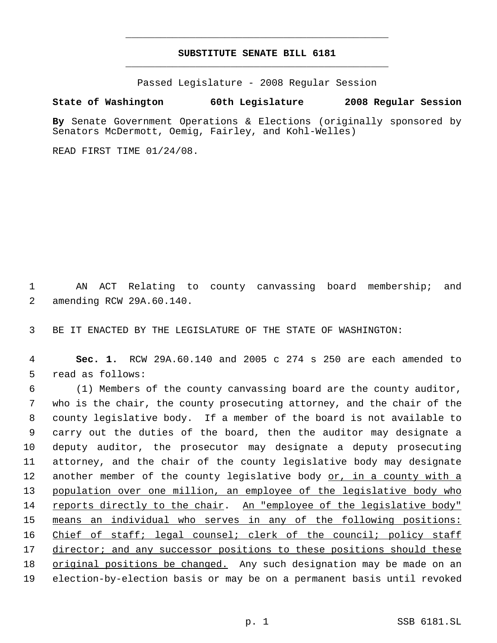# **SUBSTITUTE SENATE BILL 6181** \_\_\_\_\_\_\_\_\_\_\_\_\_\_\_\_\_\_\_\_\_\_\_\_\_\_\_\_\_\_\_\_\_\_\_\_\_\_\_\_\_\_\_\_\_

\_\_\_\_\_\_\_\_\_\_\_\_\_\_\_\_\_\_\_\_\_\_\_\_\_\_\_\_\_\_\_\_\_\_\_\_\_\_\_\_\_\_\_\_\_

Passed Legislature - 2008 Regular Session

### **State of Washington 60th Legislature 2008 Regular Session**

**By** Senate Government Operations & Elections (originally sponsored by Senators McDermott, Oemig, Fairley, and Kohl-Welles)

READ FIRST TIME 01/24/08.

 1 AN ACT Relating to county canvassing board membership; and 2 amending RCW 29A.60.140.

3 BE IT ENACTED BY THE LEGISLATURE OF THE STATE OF WASHINGTON:

 4 **Sec. 1.** RCW 29A.60.140 and 2005 c 274 s 250 are each amended to 5 read as follows:

 (1) Members of the county canvassing board are the county auditor, who is the chair, the county prosecuting attorney, and the chair of the county legislative body. If a member of the board is not available to carry out the duties of the board, then the auditor may designate a deputy auditor, the prosecutor may designate a deputy prosecuting attorney, and the chair of the county legislative body may designate 12 another member of the county legislative body or, in a county with a 13 population over one million, an employee of the legislative body who 14 reports directly to the chair. An "employee of the legislative body" means an individual who serves in any of the following positions: Chief of staff; legal counsel; clerk of the council; policy staff 17 director; and any successor positions to these positions should these original positions be changed. Any such designation may be made on an election-by-election basis or may be on a permanent basis until revoked